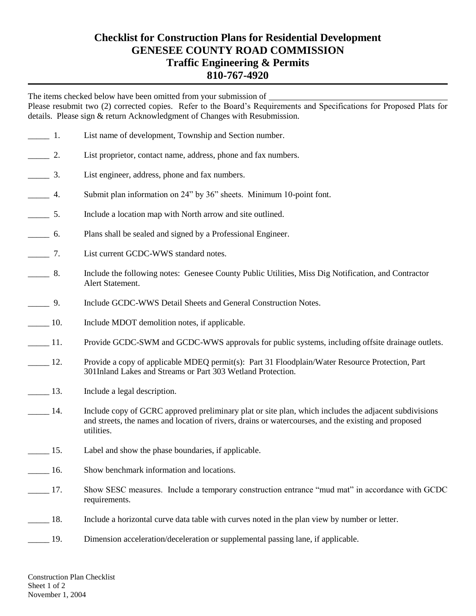## **Checklist for Construction Plans for Residential Development GENESEE COUNTY ROAD COMMISSION Traffic Engineering & Permits 810-767-4920**

The items checked below have been omitted from your submission of  $\overline{\phantom{a}}$ 

Please resubmit two (2) corrected copies. Refer to the Board's Requirements and Specifications for Proposed Plats for details. Please sign & return Acknowledgment of Changes with Resubmission.

| $\frac{1}{\sqrt{1-\frac{1}{2}}}$ 1. |        | List name of development, Township and Section number.                                                                                                                                                                      |
|-------------------------------------|--------|-----------------------------------------------------------------------------------------------------------------------------------------------------------------------------------------------------------------------------|
| $\frac{2}{\sqrt{2}}$                |        | List proprietor, contact name, address, phone and fax numbers.                                                                                                                                                              |
| $\frac{3}{2}$                       |        | List engineer, address, phone and fax numbers.                                                                                                                                                                              |
| $\frac{4}{1}$                       |        | Submit plan information on 24" by 36" sheets. Minimum 10-point font.                                                                                                                                                        |
| $\frac{1}{\sqrt{2}}$ 5.             |        | Include a location map with North arrow and site outlined.                                                                                                                                                                  |
| $\frac{1}{\sqrt{1-\frac{1}{2}}}$ 6. |        | Plans shall be sealed and signed by a Professional Engineer.                                                                                                                                                                |
| $\frac{1}{\sqrt{1-\frac{1}{2}}}$    |        | List current GCDC-WWS standard notes.                                                                                                                                                                                       |
| $\frac{1}{2}$                       | 8.     | Include the following notes: Genesee County Public Utilities, Miss Dig Notification, and Contractor<br>Alert Statement.                                                                                                     |
| $\frac{9}{2}$                       |        | Include GCDC-WWS Detail Sheets and General Construction Notes.                                                                                                                                                              |
| $\frac{10}{2}$                      |        | Include MDOT demolition notes, if applicable.                                                                                                                                                                               |
| $\frac{11}{2}$                      |        | Provide GCDC-SWM and GCDC-WWS approvals for public systems, including offsite drainage outlets.                                                                                                                             |
| $\frac{12}{2}$                      |        | Provide a copy of applicable MDEQ permit(s): Part 31 Floodplain/Water Resource Protection, Part<br>301 Inland Lakes and Streams or Part 303 Wetland Protection.                                                             |
| $\frac{13}{2}$                      |        | Include a legal description.                                                                                                                                                                                                |
| $\frac{14}{1}$                      |        | Include copy of GCRC approved preliminary plat or site plan, which includes the adjacent subdivisions<br>and streets, the names and location of rivers, drains or watercourses, and the existing and proposed<br>utilities. |
| $\frac{15}{2}$                      |        | Label and show the phase boundaries, if applicable.                                                                                                                                                                         |
| $\frac{16}{16}$                     |        | Show benchmark information and locations.                                                                                                                                                                                   |
|                                     | $-17.$ | Show SESC measures. Include a temporary construction entrance "mud mat" in accordance with GCDC<br>requirements.                                                                                                            |
| $\frac{18}{15}$                     |        | Include a horizontal curve data table with curves noted in the plan view by number or letter.                                                                                                                               |
|                                     | 19.    | Dimension acceleration/deceleration or supplemental passing lane, if applicable.                                                                                                                                            |
|                                     |        |                                                                                                                                                                                                                             |